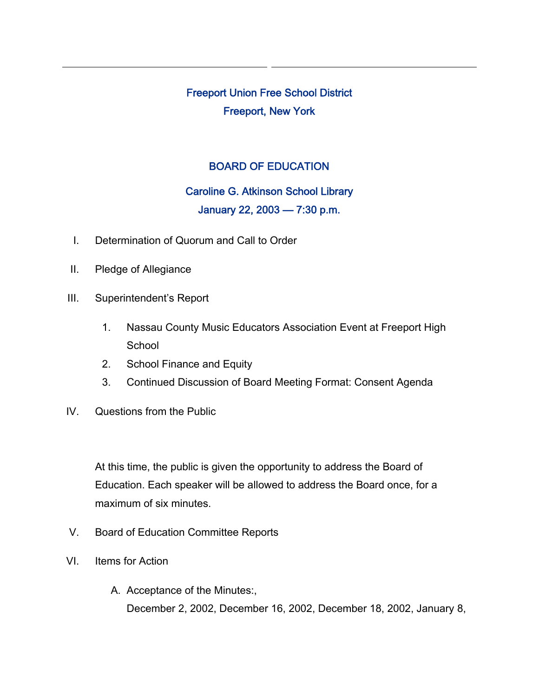Freeport Union Free School District Freeport, New York

## BOARD OF EDUCATION

## Caroline G. Atkinson School Library

## January 22, 2003 — 7:30 p.m.

- I. Determination of Quorum and Call to Order
- II. Pledge of Allegiance
- III. Superintendent's Report
	- 1. Nassau County Music Educators Association Event at Freeport High **School**
	- 2. School Finance and Equity
	- 3. Continued Discussion of Board Meeting Format: Consent Agenda
- IV. Questions from the Public

At this time, the public is given the opportunity to address the Board of Education. Each speaker will be allowed to address the Board once, for a maximum of six minutes.

- V. Board of Education Committee Reports
- VI. Items for Action
	- A. Acceptance of the Minutes:, December 2, 2002, December 16, 2002, December 18, 2002, January 8,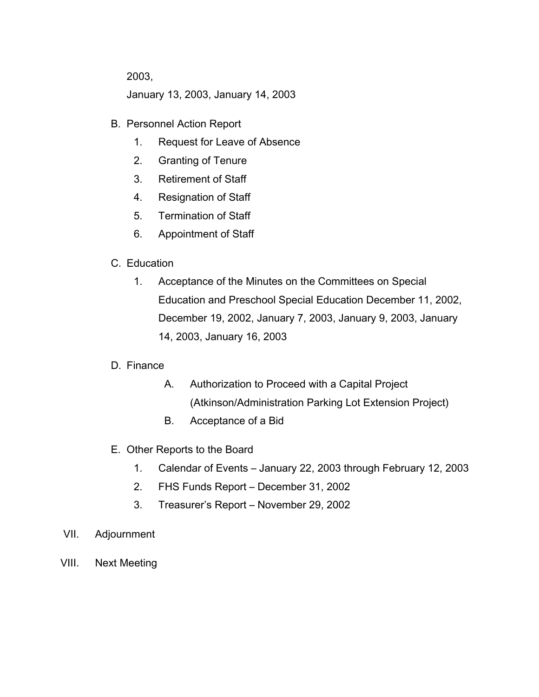2003,

January 13, 2003, January 14, 2003

- B. Personnel Action Report
	- 1. Request for Leave of Absence
	- 2. Granting of Tenure
	- 3. Retirement of Staff
	- 4. Resignation of Staff
	- 5. Termination of Staff
	- 6. Appointment of Staff
- C. Education
	- 1. Acceptance of the Minutes on the Committees on Special Education and Preschool Special Education December 11, 2002, December 19, 2002, January 7, 2003, January 9, 2003, January 14, 2003, January 16, 2003
- D. Finance
	- A. Authorization to Proceed with a Capital Project (Atkinson/Administration Parking Lot Extension Project)
	- B. Acceptance of a Bid
- E. Other Reports to the Board
	- 1. Calendar of Events January 22, 2003 through February 12, 2003
	- 2. FHS Funds Report December 31, 2002
	- 3. Treasurer's Report November 29, 2002
- VII. Adjournment
- VIII. Next Meeting